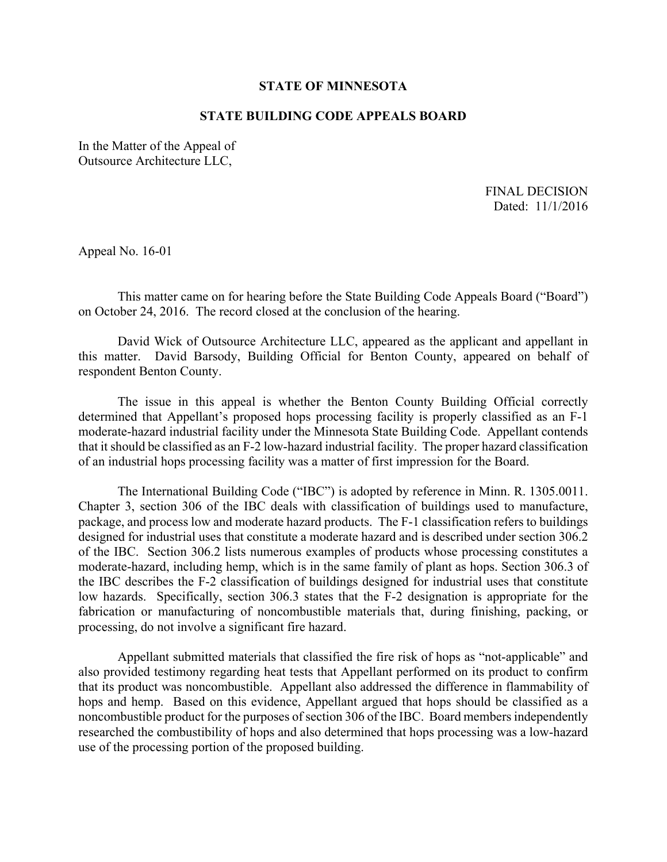## **STATE OF MINNESOTA**

## **STATE BUILDING CODE APPEALS BOARD**

In the Matter of the Appeal of Outsource Architecture LLC,

> FINAL DECISION Dated: 11/1/2016

Appeal No. 16-01

This matter came on for hearing before the State Building Code Appeals Board ("Board") on October 24, 2016. The record closed at the conclusion of the hearing.

David Wick of Outsource Architecture LLC, appeared as the applicant and appellant in this matter. David Barsody, Building Official for Benton County, appeared on behalf of respondent Benton County.

The issue in this appeal is whether the Benton County Building Official correctly determined that Appellant's proposed hops processing facility is properly classified as an F-1 moderate-hazard industrial facility under the Minnesota State Building Code. Appellant contends that it should be classified as an F-2 low-hazard industrial facility. The proper hazard classification of an industrial hops processing facility was a matter of first impression for the Board.

The International Building Code ("IBC") is adopted by reference in Minn. R. 1305.0011. Chapter 3, section 306 of the IBC deals with classification of buildings used to manufacture, package, and process low and moderate hazard products. The F-1 classification refers to buildings designed for industrial uses that constitute a moderate hazard and is described under section 306.2 of the IBC. Section 306.2 lists numerous examples of products whose processing constitutes a moderate-hazard, including hemp, which is in the same family of plant as hops. Section 306.3 of the IBC describes the F-2 classification of buildings designed for industrial uses that constitute low hazards. Specifically, section 306.3 states that the F-2 designation is appropriate for the fabrication or manufacturing of noncombustible materials that, during finishing, packing, or processing, do not involve a significant fire hazard.

Appellant submitted materials that classified the fire risk of hops as "not-applicable" and also provided testimony regarding heat tests that Appellant performed on its product to confirm that its product was noncombustible. Appellant also addressed the difference in flammability of hops and hemp. Based on this evidence, Appellant argued that hops should be classified as a noncombustible product for the purposes of section 306 of the IBC. Board members independently researched the combustibility of hops and also determined that hops processing was a low-hazard use of the processing portion of the proposed building.